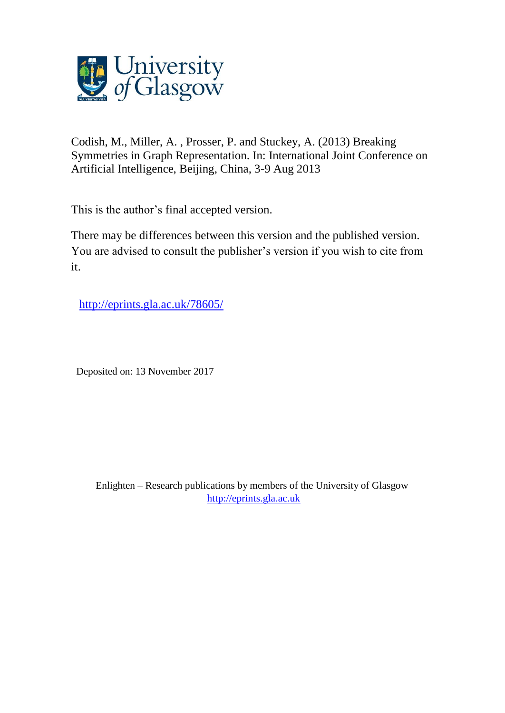

Codish, M., Miller, A. , Prosser, P. and Stuckey, A. (2013) Breaking Symmetries in Graph Representation. In: International Joint Conference on Artificial Intelligence, Beijing, China, 3-9 Aug 2013

This is the author's final accepted version.

There may be differences between this version and the published version. You are advised to consult the publisher's version if you wish to cite from it.

[http://eprints.gla.ac.uk/78605/](http://eprints.gla.ac.uk/151449/)

Deposited on: 13 November 2017

Enlighten – Research publications by members of the University of Glasgow [http://eprints.gla.ac.uk](http://eprints.gla.ac.uk/)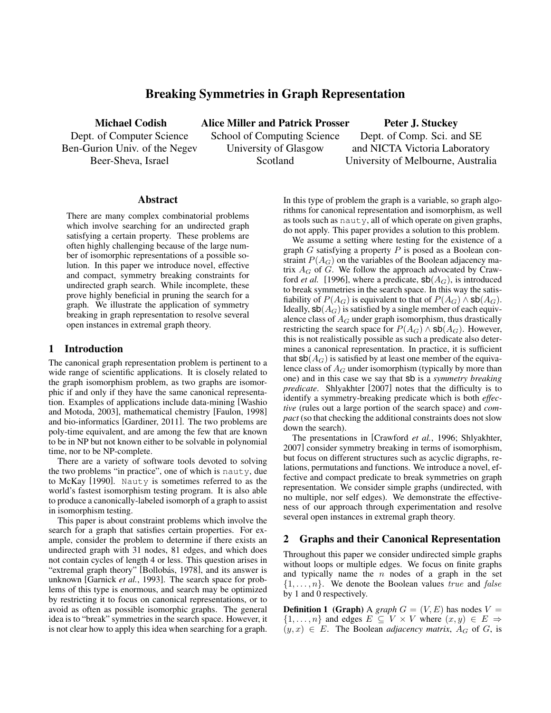# Breaking Symmetries in Graph Representation

Michael Codish Dept. of Computer Science Ben-Gurion Univ. of the Negev Beer-Sheva, Israel

Alice Miller and Patrick Prosser School of Computing Science University of Glasgow Scotland

Peter J. Stuckey Dept. of Comp. Sci. and SE and NICTA Victoria Laboratory

University of Melbourne, Australia

#### Abstract

There are many complex combinatorial problems which involve searching for an undirected graph satisfying a certain property. These problems are often highly challenging because of the large number of isomorphic representations of a possible solution. In this paper we introduce novel, effective and compact, symmetry breaking constraints for undirected graph search. While incomplete, these prove highly beneficial in pruning the search for a graph. We illustrate the application of symmetry breaking in graph representation to resolve several open instances in extremal graph theory.

#### 1 Introduction

The canonical graph representation problem is pertinent to a wide range of scientific applications. It is closely related to the graph isomorphism problem, as two graphs are isomorphic if and only if they have the same canonical representation. Examples of applications include data-mining [Washio and Motoda, 2003], mathematical chemistry [Faulon, 1998] and bio-informatics [Gardiner, 2011]. The two problems are poly-time equivalent, and are among the few that are known to be in NP but not known either to be solvable in polynomial time, nor to be NP-complete.

There are a variety of software tools devoted to solving the two problems "in practice", one of which is nauty, due to McKay [1990]. Nauty is sometimes referred to as the world's fastest isomorphism testing program. It is also able to produce a canonically-labeled isomorph of a graph to assist in isomorphism testing.

This paper is about constraint problems which involve the search for a graph that satisfies certain properties. For example, consider the problem to determine if there exists an undirected graph with 31 nodes, 81 edges, and which does not contain cycles of length 4 or less. This question arises in "extremal graph theory" [Bollobás, 1978], and its answer is unknown [Garnick *et al.*, 1993]. The search space for problems of this type is enormous, and search may be optimized by restricting it to focus on canonical representations, or to avoid as often as possible isomorphic graphs. The general idea is to "break" symmetries in the search space. However, it is not clear how to apply this idea when searching for a graph. In this type of problem the graph is a variable, so graph algorithms for canonical representation and isomorphism, as well as tools such as nauty, all of which operate on given graphs, do not apply. This paper provides a solution to this problem.

We assume a setting where testing for the existence of a graph  $G$  satisfying a property  $P$  is posed as a Boolean constraint  $P(A_G)$  on the variables of the Boolean adjacency matrix  $A_G$  of  $G$ . We follow the approach advocated by Crawford *et al.* [1996], where a predicate,  $sb(A_G)$ , is introduced to break symmetries in the search space. In this way the satisfiability of  $P(A_G)$  is equivalent to that of  $P(A_G) \wedge$  sb $(A_G)$ . Ideally,  $\mathsf{sb}(A_G)$  is satisfied by a single member of each equivalence class of  $A_G$  under graph isomorphism, thus drastically restricting the search space for  $P(A_G) \wedge$  sb $(A_G)$ . However, this is not realistically possible as such a predicate also determines a canonical representation. In practice, it is sufficient that  $\mathsf{sb}(A_G)$  is satisfied by at least one member of the equivalence class of  $A_G$  under isomorphism (typically by more than one) and in this case we say that sb is a *symmetry breaking predicate*. Shlyakhter [2007] notes that the difficulty is to identify a symmetry-breaking predicate which is both *effective* (rules out a large portion of the search space) and *compact* (so that checking the additional constraints does not slow down the search).

The presentations in [Crawford *et al.*, 1996; Shlyakhter, 2007] consider symmetry breaking in terms of isomorphism, but focus on different structures such as acyclic digraphs, relations, permutations and functions. We introduce a novel, effective and compact predicate to break symmetries on graph representation. We consider simple graphs (undirected, with no multiple, nor self edges). We demonstrate the effectiveness of our approach through experimentation and resolve several open instances in extremal graph theory.

# 2 Graphs and their Canonical Representation

Throughout this paper we consider undirected simple graphs without loops or multiple edges. We focus on finite graphs and typically name the  $n$  nodes of a graph in the set  $\{1, \ldots, n\}$ . We denote the Boolean values true and false by 1 and 0 respectively.

**Definition 1 (Graph)** A *graph*  $G = (V, E)$  has nodes  $V =$  $\{1,\ldots,n\}$  and edges  $E \subseteq V \times V$  where  $(x,y) \in E \Rightarrow$  $(y, x) \in E$ . The Boolean *adjacency matrix*,  $A_G$  of G, is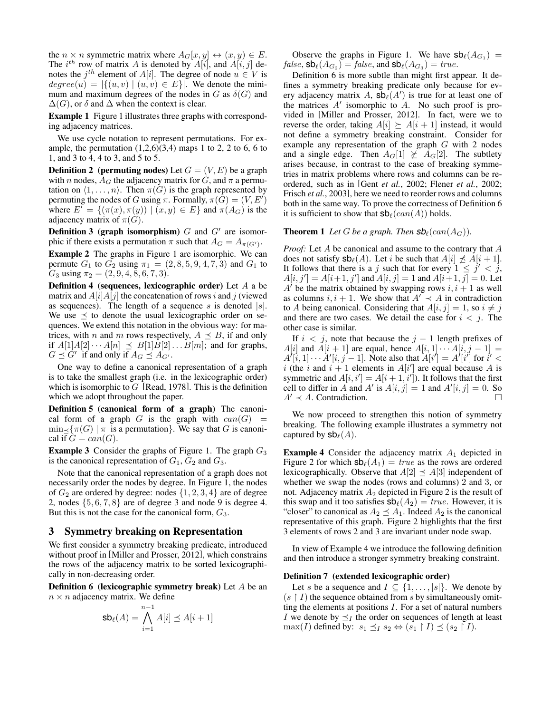the  $n \times n$  symmetric matrix where  $A_G[x, y] \leftrightarrow (x, y) \in E$ . The  $i^{th}$  row of matrix A is denoted by  $A[i]$ , and  $A[i, j]$  denotes the  $j^{th}$  element of  $A[i]$ . The degree of node  $u \in V$  is  $degree(u) = |\{(u, v) | (u, v) \in E\}|$ . We denote the minimum and maximum degrees of the nodes in G as  $\delta(G)$  and  $\Delta(G)$ , or  $\delta$  and  $\Delta$  when the context is clear.

Example 1 Figure 1 illustrates three graphs with corresponding adjacency matrices.

We use cycle notation to represent permutations. For example, the permutation  $(1,2,6)(3,4)$  maps 1 to 2, 2 to 6, 6 to 1, and 3 to 4, 4 to 3, and 5 to 5.

**Definition 2** (**permuting nodes**) Let  $G = (V, E)$  be a graph with n nodes,  $A_G$  the adjacency matrix for G, and  $\pi$  a permutation on  $\langle 1, \ldots, n \rangle$ . Then  $\pi(G)$  is the graph represented by permuting the nodes of G using  $\pi$ . Formally,  $\pi(\tilde{G}) = (V, E')$ where  $E' = \{(\pi(x), \pi(y)) \mid (x, y) \in E\}$  and  $\pi(A_G)$  is the adjacency matrix of  $\pi(G)$ .

**Definition 3 (graph isomorphism)**  $G$  and  $G'$  are isomorphic if there exists a permutation  $\pi$  such that  $A_G = A_{\pi(G')}$ .

Example 2 The graphs in Figure 1 are isomorphic. We can permute  $G_1$  to  $G_2$  using  $\pi_1 = (2, 8, 5, 9, 4, 7, 3)$  and  $G_1$  to  $G_3$  using  $\pi_2 = (2, 9, 4, 8, 6, 7, 3).$ 

**Definition 4** (sequences, lexicographic order) Let  $A$  a be matrix and  $A[i]A[j]$  the concatenation of rows i and j (viewed as sequences). The length of a sequence s is denoted  $|s|$ . We use  $\preceq$  to denote the usual lexicographic order on sequences. We extend this notation in the obvious way: for matrices, with *n* and *m* rows respectively,  $A \preceq B$ , if and only if  $A[1]A[2] \cdots A[n] \preceq B[1]B[2] \ldots B[m]$ ; and for graphs,  $G \preceq G'$  if and only if  $A_G \preceq A_{G'}$ .

One way to define a canonical representation of a graph is to take the smallest graph (i.e. in the lexicographic order) which is isomorphic to  $G$  [Read, 1978]. This is the definition which we adopt throughout the paper.

Definition 5 (canonical form of a graph) The canonical form of a graph  $G$  is the graph with  $can(G)$  $\min_{\leq} {\tau(G) | \pi}$  is a permutation}. We say that G is canonical if  $G = can(G)$ .

**Example 3** Consider the graphs of Figure 1. The graph  $G_3$ is the canonical representation of  $G_1$ ,  $G_2$  and  $G_3$ .

Note that the canonical representation of a graph does not necessarily order the nodes by degree. In Figure 1, the nodes of  $G_2$  are ordered by degree: nodes  $\{1, 2, 3, 4\}$  are of degree 2, nodes  $\{5, 6, 7, 8\}$  are of degree 3 and node 9 is degree 4. But this is not the case for the canonical form,  $G_3$ .

#### 3 Symmetry breaking on Representation

We first consider a symmetry breaking predicate, introduced without proof in [Miller and Prosser, 2012], which constrains the rows of the adjacency matrix to be sorted lexicographically in non-decreasing order.

Definition 6 (lexicographic symmetry break) Let A be an  $n \times n$  adjacency matrix. We define

$$
\mathsf{sb}_\ell(A) = \bigwedge_{i=1}^{n-1} A[i] \preceq A[i+1]
$$

Observe the graphs in Figure 1. We have  $sb_{\ell}(A_{G_1})$  =  $false$ ,  $\mathsf{sb}_{\ell}(A_{G_2}) = \mathit{false}$ , and  $\mathsf{sb}_{\ell}(A_{G_3}) = \mathit{true}$ .

Definition 6 is more subtle than might first appear. It defines a symmetry breaking predicate only because for every adjacency matrix A,  $\mathsf{sb}_{\ell}(A')$  is true for at least one of the matrices  $A'$  isomorphic to  $A$ . No such proof is provided in [Miller and Prosser, 2012]. In fact, were we to reverse the order, taking  $A[i] \geq A[i + 1]$  instead, it would not define a symmetry breaking constraint. Consider for example any representation of the graph G with 2 nodes and a single edge. Then  $A_G[1] \not\succeq A_G[2]$ . The subtlety arises because, in contrast to the case of breaking symmetries in matrix problems where rows and columns can be reordered, such as in [Gent *et al.*, 2002; Flener *et al.*, 2002; Frisch *et al.*, 2003], here we need to reorder rows and columns both in the same way. To prove the correctness of Definition 6 it is sufficient to show that  $\mathsf{sb}_{\ell}(can(A))$  holds.

#### **Theorem 1** Let G be a graph. Then  $\mathbf{Sb}_{\ell}(can(A_G)).$

*Proof:* Let A be canonical and assume to the contrary that A does not satisfy  $sb_{\ell}(A)$ . Let i be such that  $A[i] \npreceq A[i + 1]$ . It follows that there is a j such that for every  $1 \leq j' < j$ ,  $A[i, j'] = A[i+1, j']$  and  $A[i, j] = 1$  and  $A[i+1, j] = 0$ . Let  $A'$  be the matrix obtained by swapping rows  $i, i + 1$  as well as columns  $i, i + 1$ . We show that  $A' \prec A$  in contradiction to A being canonical. Considering that  $A[i, j] = 1$ , so  $i \neq j$ and there are two cases. We detail the case for  $i < j$ . The other case is similar.

If  $i < j$ , note that because the  $j - 1$  length prefixes of A[i] and  $A[i + 1]$  are equal, hence  $A[i, 1] \cdots A[i, j - 1] =$  $A^{\dagger}[i,1]\cdots A^{\dagger}[i,j-1]$ . Note also that  $A[i^{\dagger}] = A^{\dagger}[i^{\dagger}]$  for  $i^{\dagger} <$ i (the i and  $i + 1$  elements in  $A[i']$  are equal because A is symmetric and  $A[i, i'] = A[i + 1, i']$ . It follows that the first cell to differ in A and A' is  $A[i, j] = 1$  and  $A'[i, j] = 0$ . So  $A' \prec A$ . Contradiction.

We now proceed to strengthen this notion of symmetry breaking. The following example illustrates a symmetry not captured by  $\mathsf{sb}_{\ell}(A)$ .

**Example 4** Consider the adjacency matrix  $A_1$  depicted in Figure 2 for which  $\mathsf{sb}_{\ell}(A_1) = \text{true}$  as the rows are ordered lexicographically. Observe that  $A[2] \preceq A[3]$  independent of whether we swap the nodes (rows and columns) 2 and 3, or not. Adjacency matrix  $A_2$  depicted in Figure 2 is the result of this swap and it too satisfies  $\mathsf{sb}_{\ell}(A_2) = \text{true}$ . However, it is "closer" to canonical as  $A_2 \preceq A_1$ . Indeed  $A_2$  is the canonical representative of this graph. Figure 2 highlights that the first 3 elements of rows 2 and 3 are invariant under node swap.

In view of Example 4 we introduce the following definition and then introduce a stronger symmetry breaking constraint.

#### Definition 7 (extended lexicographic order)

Let s be a sequence and  $I \subseteq \{1, \ldots, |s|\}$ . We denote by  $(s \restriction I)$  the sequence obtained from s by simultaneously omitting the elements at positions  $I$ . For a set of natural numbers I we denote by  $\preceq_I$  the order on sequences of length at least  $\max(I)$  defined by:  $s_1 \preceq_I s_2 \Leftrightarrow (s_1 \upharpoonright I) \preceq (s_2 \upharpoonright I).$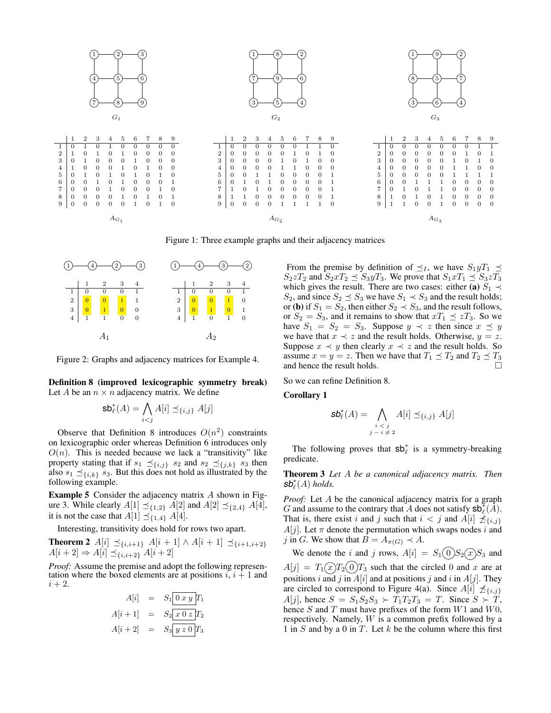

Figure 1: Three example graphs and their adjacency matrices



Figure 2: Graphs and adjacency matrices for Example 4.

Definition 8 (improved lexicographic symmetry break) Let A be an  $n \times n$  adjacency matrix. We define

$$
\mathsf{sb}_{\ell}^*(A) = \bigwedge_{i < j} A[i] \preceq_{\{i,j\}} A[j]
$$

Observe that Definition 8 introduces  $O(n^2)$  constraints on lexicographic order whereas Definition 6 introduces only  $O(n)$ . This is needed because we lack a "transitivity" like property stating that if  $s_1 \preceq_{\{i,j\}} s_2$  and  $s_2 \preceq_{\{j,k\}} s_3$  then also  $s_1 \preceq_{\{i,k\}} s_3$ . But this does not hold as illustrated by the following example.

Example 5 Consider the adjacency matrix A shown in Figure 3. While clearly  $A[1] \preceq_{\{1,2\}} A[2]$  and  $A[2] \preceq_{\{2,4\}} A[4]$ , it is not the case that  $A[1] \preceq_{\{1,4\}} A[4]$ .

Interesting, transitivity does hold for rows two apart.

**Theorem 2**  $A[i]$   $\preceq_{\{i,i+1\}}$   $A[i + 1] \wedge A[i + 1]$   $\preceq_{\{i+1,i+2\}}$  $A[i+2] \Rightarrow A[i] \preceq_{\{i,i+2\}} A[i+2]$ 

*Proof:* Assume the premise and adopt the following representation where the boxed elements are at positions  $i, i + 1$  and  $i+2$ .

$$
A[i] = S_1 \overline{0 x y} T_1
$$
  

$$
A[i+1] = S_2 \overline{x 0 z} T_2
$$
  

$$
A[i+2] = S_3 \overline{y z 0} T_3
$$

From the premise by definition of  $\preceq_I$ , we have  $S_1 y T_1 \preceq$  $S_2zT_2$  and  $S_2xT_2 \preceq S_3yT_3$ . We prove that  $S_1xT_1 \preceq S_3zT_3$ which gives the result. There are two cases: either (a)  $S_1 \prec$ S<sub>2</sub>, and since  $S_2 \preceq S_3$  we have  $S_1 \prec S_3$  and the result holds; or (**b**) if  $S_1 = S_2$ , then either  $S_2 \prec S_3$ , and the result follows, or  $S_2 = S_3$ , and it remains to show that  $xT_1 \preceq zT_3$ . So we have  $S_1 = S_2 = S_3$ . Suppose  $y \prec z$  then since  $x \preceq y$ we have that  $x \prec z$  and the result holds. Otherwise,  $y = z$ . Suppose  $x \prec y$  then clearly  $x \prec z$  and the result holds. So assume  $x = y = z$ . Then we have that  $T_1 \preceq T_2$  and  $T_2 \preceq T_3$  and hence the result holds. and hence the result holds.

So we can refine Definition 8.

Corollary 1

$$
\mathsf{sb}_{\ell}^*(A) = \bigwedge_{\substack{i < j \\ j-i \neq 2}} A[i] \preceq_{\{i,j\}} A[j]
$$

The following proves that  $sb^*$  is a symmetry-breaking predicate.

Theorem 3 *Let* A *be a canonical adjacency matrix. Then*  $sb^*_{\ell}(A)$  *holds.* 

*Proof:* Let A be the canonical adjacency matrix for a graph G and assume to the contrary that A does not satisfy  $sb_{\ell}^{*}(A)$ . That is, there exist i and j such that  $i < j$  and  $A[i] \npreceq_{\{i,j\}}$  $A[j]$ . Let  $\pi$  denote the permutation which swaps nodes i and j in G. We show that  $B = A_{\pi(G)} \prec A$ .

We denote the i and j rows,  $A[i] = S_1(0)S_2(x)S_3$  and  $A[j] = T_1(x)T_2(0)T_3$  such that the circled 0 and x are at positions i and j in  $A[i]$  and at positions j and i in  $A[j]$ . They are circled to correspond to Figure 4(a). Since  $A[i] \npreceq_{\{i,j\}}$  $A[j]$ , hence  $S = S_1S_2S_3 \succ T_1T_2T_3 = T$ . Since  $S \succ T$ , hence  $S$  and  $T$  must have prefixes of the form  $W1$  and  $W0$ , respectively. Namely, W is a common prefix followed by a 1 in  $S$  and by a 0 in  $T$ . Let  $k$  be the column where this first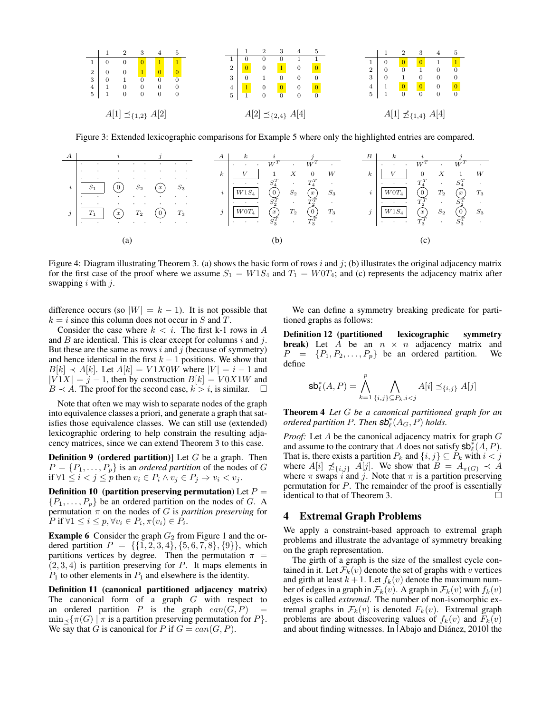

Figure 3: Extended lexicographic comparisons for Example 5 where only the highlighted entries are compared.



Figure 4: Diagram illustrating Theorem 3. (a) shows the basic form of rows i and j; (b) illustrates the original adjacency matrix for the first case of the proof where we assume  $S_1 = W1S_4$  and  $T_1 = W0T_4$ ; and (c) represents the adjacency matrix after swapping  $i$  with  $j$ .

difference occurs (so  $|W| = k - 1$ ). It is not possible that  $k = i$  since this column does not occur in S and T.

Consider the case where  $k < i$ . The first k-1 rows in A and  $B$  are identical. This is clear except for columns i and j. But these are the same as rows  $i$  and  $j$  (because of symmetry) and hence identical in the first  $k - 1$  positions. We show that  $B[k] \prec A[k]$ . Let  $A[k] = V1X0W$  where  $|V| = i - 1$  and  $|V1X| = j - 1$ , then by construction  $B[k] = V0X1W$  and  $B \prec A$ . The proof for the second case,  $k > i$ , is similar.

Note that often we may wish to separate nodes of the graph into equivalence classes a priori, and generate a graph that satisfies those equivalence classes. We can still use (extended) lexicographic ordering to help constrain the resulting adjacency matrices, since we can extend Theorem 3 to this case.

**Definition 9** (ordered partition)] Let  $G$  be a graph. Then  $P = \{P_1, \ldots, P_p\}$  is an *ordered partition* of the nodes of G if ∀1  $\leq i < j \leq p$  then  $v_i \in P_i \land v_j \in P_j \Rightarrow v_i < v_j$ .

Definition 10 (partition preserving permutation) Let  $P =$  $\{P_1, \ldots, P_p\}$  be an ordered partition on the nodes of G. A permutation  $\pi$  on the nodes of G is *partition preserving* for  $P$  if  $\forall 1 \leq i \leq p, \forall v_i \in P_i, \pi(v_i) \in P_i$ .

**Example 6** Consider the graph  $G_2$  from Figure 1 and the ordered partition  $P = \{ \{1, 2, 3, 4\}, \{5, 6, 7, 8\}, \{9\} \}$ , which partitions vertices by degree. Then the permutation  $\pi$  =  $(2, 3, 4)$  is partition preserving for P. It maps elements in  $P_1$  to other elements in  $P_1$  and elsewhere is the identity.

Definition 11 (canonical partitioned adjacency matrix) The canonical form of a graph  $G$  with respect to an ordered partition P is the graph  $can(G, P)$  =  $\min_{\prec} {\pi(G) | \pi$  is a partition preserving permutation for P. We say that G is canonical for P if  $G = can(G, P)$ .

We can define a symmetry breaking predicate for partitioned graphs as follows:

Definition 12 (partitioned lexicographic symmetry **break**) Let A be an  $n \times n$  adjacency matrix and  $P = \{P_1, P_2, \ldots, P_p\}$  be an ordered partition. We define

$$
\mathsf{sb}_{\ell}^*(A, P) = \bigwedge_{k=1}^p \bigwedge_{\{i,j\} \subseteq P_k, i < j} A[i] \preceq_{\{i,j\}} A[j]
$$

Theorem 4 *Let* G *be a canonical partitioned graph for an ordered partition* P. Then  $\mathsf{sb}_{\ell}^*(A_G,P)$  *holds.* 

*Proof:* Let A be the canonical adjacency matrix for graph G and assume to the contrary that A does not satisfy  $\mathsf{sb}_{\ell}^*(A, P)$ . That is, there exists a partition  $P_k$  and  $\{i, j\} \subseteq P_k$  with  $i < j$ where  $A[i] \npreceq_{\{i,j\}} A[j]$ . We show that  $B = A_{\pi(G)} \prec A$ where  $\pi$  swaps i and j. Note that  $\pi$  is a partition preserving permutation for P. The remainder of the proof is essentially identical to that of Theorem 3.

### 4 Extremal Graph Problems

We apply a constraint-based approach to extremal graph problems and illustrate the advantage of symmetry breaking on the graph representation.

The girth of a graph is the size of the smallest cycle contained in it. Let  $\mathcal{F}_k(v)$  denote the set of graphs with v vertices and girth at least  $k + 1$ . Let  $f_k(v)$  denote the maximum number of edges in a graph in  $\mathcal{F}_k(v)$ . A graph in  $\mathcal{F}_k(v)$  with  $f_k(v)$ edges is called *extremal*. The number of non-isomorphic extremal graphs in  $\mathcal{F}_k(v)$  is denoted  $F_k(v)$ . Extremal graph problems are about discovering values of  $f_k(v)$  and  $F_k(v)$ and about finding witnesses. In [Abajo and Diánez, 2010] the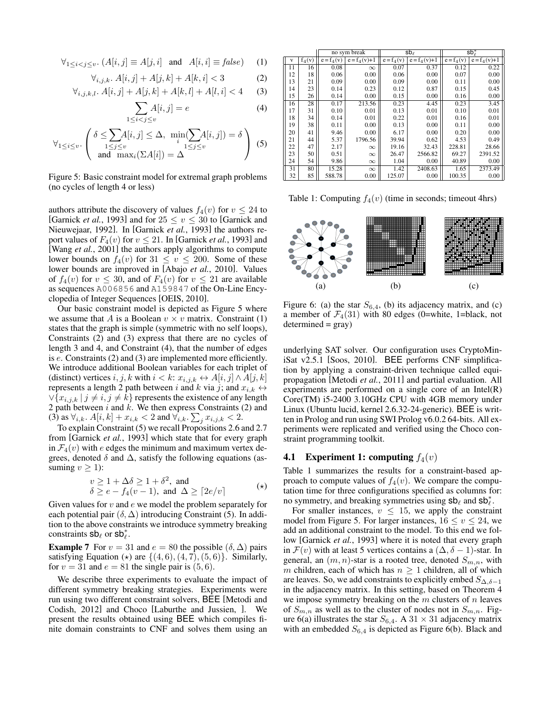$$
\forall_{1 \leq i < j \leq v} \colon (A[i,j] \equiv A[j,i] \quad \text{and} \quad A[i,i] \equiv false) \tag{1}
$$

$$
\forall_{i,j,k} \, A[i,j] + A[j,k] + A[k,i] < 3 \tag{2}
$$

$$
\forall_{i,j,k,l}. A[i,j] + A[j,k] + A[k,l] + A[l,i] < 4 \tag{3}
$$

$$
\sum_{1 \le i < j \le v} A[i, j] = e \tag{4}
$$

$$
\forall_{1 \leq i \leq v} \cdot \begin{pmatrix} \delta \leq \sum_{1 \leq j \leq v} A[i,j] \leq \Delta, & \min_{i} (\sum_{1 \leq j \leq v} A[i,j]) = \delta \\ \text{and} & \max_{i} (\sum A[i]) = \Delta \end{pmatrix} \tag{5}
$$

 $\mathbf{1}$ 

Figure 5: Basic constraint model for extremal graph problems (no cycles of length 4 or less)

authors attribute the discovery of values  $f_4(v)$  for  $v \le 24$  to [Garnick *et al.*, 1993] and for  $25 \le v \le 30$  to [Garnick and Nieuwejaar, 1992]. In [Garnick *et al.*, 1993] the authors report values of  $F_4(v)$  for  $v \le 21$ . In [Garnick *et al.*, 1993] and [Wang *et al.*, 2001] the authors apply algorithms to compute lower bounds on  $f_4(v)$  for  $31 \le v \le 200$ . Some of these lower bounds are improved in [Abajo *et al.*, 2010]. Values of  $f_4(v)$  for  $v \leq 30$ , and of  $F_4(v)$  for  $v \leq 21$  are available as sequences A006856 and A159847 of the On-Line Encyclopedia of Integer Sequences [OEIS, 2010].

Our basic constraint model is depicted as Figure 5 where we assume that A is a Boolean  $v \times v$  matrix. Constraint (1) states that the graph is simple (symmetric with no self loops), Constraints (2) and (3) express that there are no cycles of length 3 and 4, and Constraint (4), that the number of edges is e. Constraints (2) and (3) are implemented more efficiently. We introduce additional Boolean variables for each triplet of (distinct) vertices  $i, j, k$  with  $i < k$ :  $x_{i,j,k} \leftrightarrow A[i, j] \wedge A[j, k]$ represents a length 2 path between i and k via j; and  $x_{i,k} \leftrightarrow$  $\forall \{x_{i,j,k} | j \neq i, j \neq k\}$  represents the existence of any length 2 path between  $i$  and  $k$ . We then express Constraints (2) and (3) as  $\forall_{i,k}$ .  $A[i,k] + x_{i,k} < 2$  and  $\forall_{i,k}$ .  $\sum_j x_{i,j,k} < 2$ .

To explain Constraint (5) we recall Propositions 2.6 and 2.7 from [Garnick *et al.*, 1993] which state that for every graph in  $\mathcal{F}_4(v)$  with e edges the minimum and maximum vertex degrees, denoted  $\delta$  and  $\Delta$ , satisfy the following equations (assuming  $v > 1$ :

$$
v \ge 1 + \Delta\delta \ge 1 + \delta^2, \text{ and}
$$
  
\n
$$
\delta \ge e - f_4(v - 1), \text{ and } \Delta \ge [2e/v]
$$
 (\*)

Given values for  $v$  and  $e$  we model the problem separately for each potential pair  $(\delta, \Delta)$  introducing Constraint (5). In addition to the above constraints we introduce symmetry breaking constraints  $sb_\ell$  or  $sb_\ell^*$ .

**Example 7** For  $v = 31$  and  $e = 80$  the possible  $(\delta, \Delta)$  pairs satisfying Equation ( $\star$ ) are  $\{(4, 6), (4, 7), (5, 6)\}.$  Similarly, for  $v = 31$  and  $e = 81$  the single pair is  $(5, 6)$ .

We describe three experiments to evaluate the impact of different symmetry breaking strategies. Experiments were run using two different constraint solvers, BEE [Metodi and Codish, 2012] and Choco [Laburthe and Jussien, ]. We present the results obtained using BEE which compiles finite domain constraints to CNF and solves them using an

|    |          | no sym break            |                | $sb\ell$                |                | $sb^*$                  |                |
|----|----------|-------------------------|----------------|-------------------------|----------------|-------------------------|----------------|
| v  | $f_4(v)$ | $\overline{e} = f_4(v)$ | $e = f_4(v)+1$ | $\overline{e} = f_4(v)$ | $e = f_4(v)+1$ | $\overline{e} = f_4(v)$ | $e = f_4(v)+1$ |
| 11 | 16       | 0.08                    | $\infty$       | 0.07                    | 0.37           | 0.12                    | 0.22           |
| 12 | 18       | 0.06                    | 0.00           | 0.06                    | 0.00           | 0.07                    | 0.00           |
| 13 | 21       | 0.09                    | 0.00           | 0.09                    | 0.00           | 0.11                    | 0.00           |
| 14 | 23       | 0.14                    | 0.23           | 0.12                    | 0.87           | 0.15                    | 0.45           |
| 15 | 26       | 0.14                    | 0.00           | 0.15                    | 0.00           | 0.16                    | 0.00           |
| 16 | 28       | 0.17                    | 213.56         | 0.23                    | 4.45           | 0.23                    | 3.45           |
| 17 | 31       | 0.10                    | 0.01           | 0.13                    | 0.01           | 0.10                    | 0.01           |
| 18 | 34       | 0.14                    | 0.01           | 0.22                    | 0.01           | 0.16                    | 0.01           |
| 19 | 38       | 0.11                    | 0.00           | 0.13                    | 0.00           | 0.11                    | 0.00           |
| 20 | 41       | 9.46                    | 0.00           | 6.17                    | 0.00           | 0.20                    | 0.00           |
| 21 | 44       | 5.37                    | 1796.56        | 39.94                   | 0.62           | 4.53                    | 0.49           |
| 22 | 47       | 2.17                    | $\infty$       | 19.16                   | 32.43          | 228.81                  | 28.66          |
| 23 | 50       | 0.51                    | $\infty$       | 26.47                   | 2566.82        | 69.27                   | 2391.52        |
| 24 | 54       | 9.86                    | $\infty$       | 1.04                    | 0.00           | 40.89                   | 0.00           |
| 31 | 80       | 15.28                   | $\infty$       | 1.42                    | 2408.63        | 1.65                    | 2373.49        |
| 32 | 85       | 588.78                  | 0.00           | 125.07                  | 0.00           | 100.35                  | 0.00           |

Table 1: Computing  $f_4(v)$  (time in seconds; timeout 4hrs)



Figure 6: (a) the star  $S_{6,4}$ , (b) its adjacency matrix, and (c) a member of  $\mathcal{F}_4(31)$  with 80 edges (0=white, 1=black, not  $determined = gray)$ 

underlying SAT solver. Our configuration uses CryptoMiniSat v2.5.1 [Soos, 2010]. BEE performs CNF simplification by applying a constraint-driven technique called equipropagation [Metodi *et al.*, 2011] and partial evaluation. All experiments are performed on a single core of an Intel(R) Core(TM) i5-2400 3.10GHz CPU with 4GB memory under Linux (Ubuntu lucid, kernel 2.6.32-24-generic). BEE is written in Prolog and run using SWI Prolog v6.0.2 64-bits. All experiments were replicated and verified using the Choco constraint programming toolkit.

#### **4.1** Experiment 1: computing  $f_4(v)$

Table 1 summarizes the results for a constraint-based approach to compute values of  $f_4(v)$ . We compare the computation time for three configurations specified as columns for: no symmetry, and breaking symmetries using  $sb_\ell$  and  $sb_\ell^*$ .

For smaller instances,  $v \leq 15$ , we apply the constraint model from Figure 5. For larger instances,  $16 \le v \le 24$ , we add an additional constraint to the model. To this end we follow [Garnick *et al.*, 1993] where it is noted that every graph in  $\mathcal{F}(v)$  with at least 5 vertices contains a  $(\Delta, \delta - 1)$ -star. In general, an  $(m, n)$ -star is a rooted tree, denoted  $S_{m,n}$ , with m children, each of which has  $n \geq 1$  children, all of which are leaves. So, we add constraints to explicitly embed  $S_{\Delta,\delta-1}$ in the adjacency matrix. In this setting, based on Theorem 4 we impose symmetry breaking on the  $m$  clusters of  $n$  leaves of  $S_{m,n}$  as well as to the cluster of nodes not in  $S_{m,n}$ . Figure 6(a) illustrates the star  $S_{6,4}$ . A 31 × 31 adjacency matrix with an embedded  $S_{6,4}$  is depicted as Figure 6(b). Black and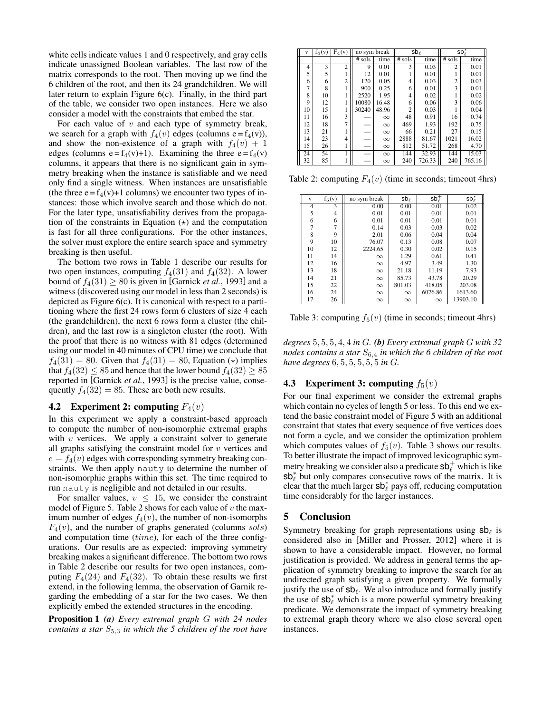white cells indicate values 1 and 0 respectively, and gray cells indicate unassigned Boolean variables. The last row of the matrix corresponds to the root. Then moving up we find the 6 children of the root, and then its 24 grandchildren. We will later return to explain Figure 6(c). Finally, in the third part of the table, we consider two open instances. Here we also consider a model with the constraints that embed the star.

For each value of  $v$  and each type of symmetry break, we search for a graph with  $f_4(v)$  edges (columns e=f<sub>4</sub>(v)), and show the non-existence of a graph with  $f_4(v) + 1$ edges (columns  $e = f_4(v)+1$ ). Examining the three  $e = f_4(v)$ columns, it appears that there is no significant gain in symmetry breaking when the instance is satisfiable and we need only find a single witness. When instances are unsatisfiable (the three  $e = f_4(v)+1$  columns) we encounter two types of instances: those which involve search and those which do not. For the later type, unsatisfiability derives from the propagation of the constraints in Equation  $(\star)$  and the computation is fast for all three configurations. For the other instances, the solver must explore the entire search space and symmetry breaking is then useful.

The bottom two rows in Table 1 describe our results for two open instances, computing  $f_4(31)$  and  $f_4(32)$ . A lower bound of  $f_4(31) \ge 80$  is given in [Garnick *et al.*, 1993] and a witness (discovered using our model in less than 2 seconds) is depicted as Figure 6(c). It is canonical with respect to a partitioning where the first 24 rows form 6 clusters of size 4 each (the grandchildren), the next 6 rows form a cluster (the children), and the last row is a singleton cluster (the root). With the proof that there is no witness with 81 edges (determined using our model in 40 minutes of CPU time) we conclude that  $f_4(31) = 80$ . Given that  $f_4(31) = 80$ , Equation ( $\star$ ) implies that  $f_4(32) \leq 85$  and hence that the lower bound  $f_4(32) \geq 85$ reported in [Garnick *et al.*, 1993] is the precise value, consequently  $f_4(32) = 85$ . These are both new results.

#### **4.2** Experiment 2: computing  $F_4(v)$

In this experiment we apply a constraint-based approach to compute the number of non-isomorphic extremal graphs with  $v$  vertices. We apply a constraint solver to generate all graphs satisfying the constraint model for  $v$  vertices and  $e = f_4(v)$  edges with corresponding symmetry breaking constraints. We then apply nauty to determine the number of non-isomorphic graphs within this set. The time required to run nauty is negligible and not detailed in our results.

For smaller values,  $v \leq 15$ , we consider the constraint model of Figure 5. Table 2 shows for each value of  $v$  the maximum number of edges  $f_4(v)$ , the number of non-isomorphs  $F_4(v)$ , and the number of graphs generated (columns sols) and computation time  $(time)$ , for each of the three configurations. Our results are as expected: improving symmetry breaking makes a significant difference. The bottom two rows in Table 2 describe our results for two open instances, computing  $F_4(24)$  and  $F_4(32)$ . To obtain these results we first extend, in the following lemma, the observation of Garnik regarding the embedding of a star for the two cases. We then explicitly embed the extended structures in the encoding.

Proposition 1 *(a) Every extremal graph* G *with 24 nodes contains a star*  $S_{5,3}$  *in which the 5 children of the root have* 

| v  | $f_4(v)$ | $F_4(v)$       |          | $sb\ell$<br>no sym break |                | $sb^*_{\ell}$ |                |        |
|----|----------|----------------|----------|--------------------------|----------------|---------------|----------------|--------|
|    |          |                | $#$ sols | time                     | $#$ sols       | time          | $#$ sols       | time   |
| 4  | 3        | $\overline{c}$ | 9        | 0.01                     | 3              | 0.03          | $\overline{c}$ | 0.01   |
| 5  | 5        |                | 12       | 0.01                     |                | 0.01          |                | 0.01   |
| 6  | 6        | $\overline{2}$ | 120      | 0.05                     | 4              | 0.03          | 2              | 0.03   |
| 7  | 8        |                | 900      | 0.25                     | 6              | 0.01          | 3              | 0.01   |
| 8  | 10       |                | 2520     | 1.95                     | 4              | 0.02          |                | 0.02   |
| 9  | 12       |                | 10080    | 16.48                    | 6              | 0.06          | 3              | 0.06   |
| 10 | 15       |                | 30240    | 48.96                    | $\overline{2}$ | 0.03          |                | 0.04   |
| 11 | 16       | 3              |          | $\infty$                 | 48             | 0.91          | 16             | 0.74   |
| 12 | 18       | $\overline{7}$ |          | $\infty$                 | 469            | 1.93          | 192            | 0.75   |
| 13 | 21       |                |          | $\infty$                 | 66             | 0.21          | 27             | 0.15   |
| 14 | 23       | 4              | L.       | $\infty$                 | 2888           | 81.67         | 1021           | 16.02  |
| 15 | 26       |                | -        | $\infty$                 | 812            | 51.72         | 268            | 4.70   |
| 24 | 54       |                |          | $\infty$                 | 144            | 32.93         | 144            | 15.03  |
| 32 | 85       |                |          | $\infty$                 | 240            | 726.33        | 240            | 765.16 |

Table 2: computing  $F_4(v)$  (time in seconds; timeout 4hrs)

| V  | $f_5(v)$ | no sym break | $sb\ell$ | sb <sub>z</sub> | $\mathsf{sb}^*_\ell$ |
|----|----------|--------------|----------|-----------------|----------------------|
| 4  | 3        | 0.00         | 0.00     | 0.01            | 0.02                 |
| 5  | 4        | 0.01         | 0.01     | 0.01            | 0.01                 |
| 6  | 6        | 0.01         | 0.01     | 0.01            | 0.01                 |
| 7  | 7        | 0.14         | 0.03     | 0.03            | 0.02                 |
| 8  | 9        | 2.01         | 0.06     | 0.04            | 0.04                 |
| 9  | 10       | 76.07        | 0.13     | 0.08            | 0.07                 |
| 10 | 12       | 2224.65      | 0.30     | 0.02            | 0.15                 |
| 11 | 14       | $\infty$     | 1.29     | 0.61            | 0.41                 |
| 12 | 16       | $\infty$     | 4.97     | 3.49            | 1.30                 |
| 13 | 18       | $\infty$     | 21.18    | 11.19           | 7.93                 |
| 14 | 21       | $\infty$     | 85.73    | 43.78           | 20.29                |
| 15 | 22       | $\infty$     | 801.03   | 418.05          | 203.08               |
| 16 | 24       | $\infty$     | $\infty$ | 6076.86         | 1613.60              |
| 17 | 26       | $\infty$     | $\infty$ | $\infty$        | 13903.10             |

Table 3: computing  $f_5(v)$  (time in seconds; timeout 4hrs)

*degrees* 5, 5, 5, 4, 4 *in* G*. (b) Every extremal graph* G *with 32 nodes contains a star*  $S_{6,4}$  *in which the 6 children of the root have degrees* 6, 5, 5, 5, 5, 5 *in* G*.*

# **4.3** Experiment 3: computing  $f_5(v)$

For our final experiment we consider the extremal graphs which contain no cycles of length 5 or less. To this end we extend the basic constraint model of Figure 5 with an additional constraint that states that every sequence of five vertices does not form a cycle, and we consider the optimization problem which computes values of  $f_5(v)$ . Table 3 shows our results. To better illustrate the impact of improved lexicographic symmetry breaking we consider also a predicate  $sb^{\dagger}_{\ell}$  which is like  $s\mathbf{b}_{\ell}^*$  but only compares consecutive rows of the matrix. It is clear that the much larger  $sb^*$  pays off, reducing computation time considerably for the larger instances.

### 5 Conclusion

Symmetry breaking for graph representations using  $sb_{\ell}$  is considered also in [Miller and Prosser, 2012] where it is shown to have a considerable impact. However, no formal justification is provided. We address in general terms the application of symmetry breaking to improve the search for an undirected graph satisfying a given property. We formally justify the use of  $sb_{\ell}$ . We also introduce and formally justify the use of  $sb^*_{\ell}$  which is a more powerful symmetry breaking predicate. We demonstrate the impact of symmetry breaking to extremal graph theory where we also close several open instances.